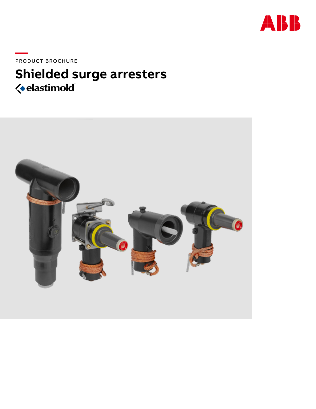

PRODUCT BROCHURE

# **Shielded surge arresters**

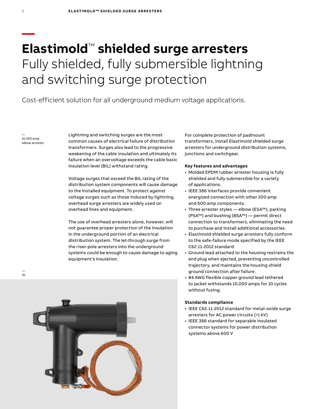# **Elastimold**™ **shielded surge arresters**  Fully shielded, fully submersible lightning and switching surge protection

Cost-efficient solution for all underground medium voltage applications.

— 01 200 amp elbow arrester

**—**

Lightning and switching surges are the most common causes of electrical failure of distribution transformers. Surges also lead to the progressive weakening of the cable insulation and ultimately its failure when an overvoltage exceeds the cable basic insulation level (BIL) withstand rating.

Voltage surges that exceed the BIL rating of the distribution system components will cause damage to the installed equipment. To protect against voltage surges such as those induced by lightning, overhead surge arresters are widely used on overhead lines and equipment.

The use of overhead arresters alone, however, will not guarantee proper protection of the insulation in the underground portion of an electrical distribution system. The let-through surge from the riser-pole arresters into the underground systems could be enough to cause damage to aging equipment's insulation.

For complete protection of padmount transformers, install Elastimold shielded surge arresters for underground distribution systems, junctions and switchgear.

#### **Key features and advantages**

- Molded EPDM rubber arrester housing is fully shielded and fully submersible for a variety of applications.
- IEEE 386 interfaces provide convenient energized connection with other 200 amp and 600 amp components.
- Three arrester styles elbow (ESA™), parking (PSA™) and bushing (BSA™) — permit direct connection to transformers, eliminating the need to purchase and install additional accessories.
- Elastimold shielded surge arresters fully conform to the safe-failure mode specified by the IEEE C62.11-2012 standard.
- Ground lead attached to the housing restrains the end plug when ejected, preventing uncontrolled trajectory, and maintains the housing shield ground connection after failure.
- #4 AWG flexible copper ground lead tethered to jacket withstands 10,000 amps for 10 cycles without fusing.

#### **Standards compliance**

- IEEE C62.11-2012 standard for metal-oxide surge arresters for AC power circuits (>1 kV)
- IEEE 386 standard for separable insulated connector systems for power distribution systems above 600 V

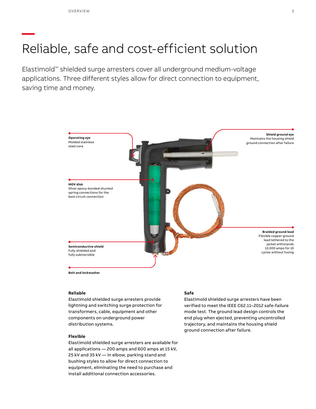# **—** Reliable, safe and cost-efficient solution

Elastimold™ shielded surge arresters cover all underground medium-voltage applications. Three different styles allow for direct connection to equipment, saving time and money.



#### **Reliable**

Elastimold shielded surge arresters provide lightning and switching surge protection for transformers, cable, equipment and other components on underground power distribution systems.

#### **Flexible**

Elastimold shielded surge arresters are available for all applications — 200 amps and 600 amps at 15 kV, 25 kV and 35 kV — in elbow, parking stand and bushing styles to allow for direct connection to equipment, eliminating the need to purchase and install additional connection accessories.

#### **Safe**

Elastimold shielded surge arresters have been verified to meet the IEEE C62.11–2012 safe-failure mode test. The ground lead design controls the end plug when ejected, preventing uncontrolled trajectory, and maintains the housing shield ground connection after failure.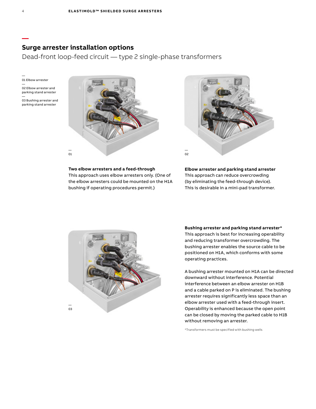### **Surge arrester installation options**

Dead-front loop-feed circuit — type 2 single-phase transformers

— 01 Elbow arrester

- 02 Elbow arrester and parking stand arrester —
- 03 Bushing arrester and parking stand arrester



# **Two elbow arresters and a feed-through**

This approach uses elbow arresters only. (One of the elbow arresters could be mounted on the H1A bushing if operating procedures permit.)

![](_page_3_Picture_9.jpeg)

**Elbow arrester and parking stand arrester** This approach can reduce overcrowding (by eliminating the feed-through device). This is desirable in a mini-pad transformer.

![](_page_3_Picture_11.jpeg)

**Bushing arrester and parking stand arrester\***

This approach is best for increasing operability and reducing transformer overcrowding. The bushing arrester enables the source cable to be positioned on H1A, which conforms with some operating practices.

A bushing arrester mounted on H1A can be directed downward without interference. Potential interference between an elbow arrester on H1B and a cable parked on P is eliminated. The bushing arrester requires significantly less space than an elbow arrester used with a feed-through insert. Operability is enhanced because the open point can be closed by moving the parked cable to H1B without removing an arrester.

\*Transformers must be specified with bushing wells

**—**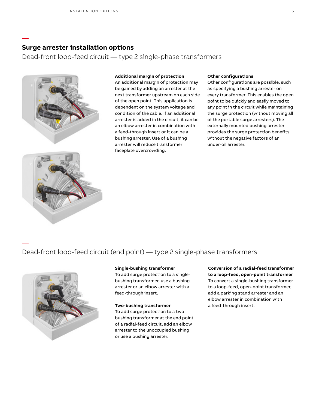### **Surge arrester installation options**

Dead-front loop-feed circuit — type 2 single-phase transformers

![](_page_4_Picture_3.jpeg)

#### **Additional margin of protection**

An additional margin of protection may be gained by adding an arrester at the next transformer upstream on each side of the open point. This application is dependent on the system voltage and condition of the cable. If an additional arrester is added in the circuit, it can be an elbow arrester in combination with a feed-through insert or it can be a bushing arrester. Use of a bushing arrester will reduce transformer faceplate overcrowding.

#### **Other configurations**

Other configurations are possible, such as specifying a bushing arrester on every transformer. This enables the open point to be quickly and easily moved to any point in the circuit while maintaining the surge protection (without moving all of the portable surge arresters). The externally mounted bushing arrester provides the surge protection benefits without the negative factors of an under-oil arrester.

# Dead-front loop-feed circuit (end point) — type 2 single-phase transformers

![](_page_4_Picture_9.jpeg)

—

**—**

#### **Single-bushing transformer**

To add surge protection to a singlebushing transformer, use a bushing arrester or an elbow arrester with a feed-through insert.

#### **Two-bushing transformer**

To add surge protection to a twobushing transformer at the end point of a radial-feed circuit, add an elbow arrester to the unoccupied bushing or use a bushing arrester.

#### **Conversion of a radial-feed transformer to a loop-feed, open-point transformer** To convert a single-bushing transformer to a loop-feed, open-point transformer, add a parking stand arrester and an elbow arrester in combination with

a feed-through insert.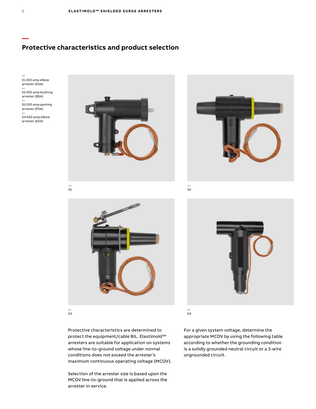## **Protective characteristics and product selection**

![](_page_5_Figure_2.jpeg)

— 03

Protective characteristics are determined to protect the equipment/cable BIL. Elastimold™ arresters are suitable for application on systems whose line-to-ground voltage under normal conditions does not exceed the arrester's maximum continuous operating voltage (MCOV).

Selection of the arrester size is based upon the MCOV line-to-ground that is applied across the arrester in service.

For a given system voltage, determine the appropriate MCOV by using the following table according to whether the grounding condition is a solidly grounded neutral circuit or a 3-wire ungrounded circuit.

**—**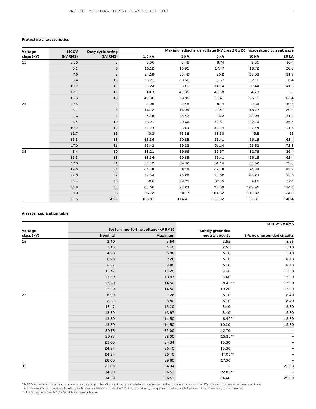#### **Protective characteristics**

**—**

| Voltage<br>class (kV) | <b>MCOV</b><br>(kV RMS) | Duty cycle rating<br>(kV RMS) | Maximum discharge voltage (kV crest) 8 x 20 microsecond current wave |        |             |        |       |
|-----------------------|-------------------------|-------------------------------|----------------------------------------------------------------------|--------|-------------|--------|-------|
|                       |                         |                               | 1.5 kA                                                               | 3 kA   | <b>5 kA</b> | 10 kA  | 20 kA |
| 15                    | 2.55                    | 3                             | 8.06                                                                 | 8.48   | 8.74        | 9.36   | 10.4  |
|                       | 5.1                     | 6                             | 16.12                                                                | 16.95  | 17.47       | 18.72  | 20.8  |
|                       | 7.6                     | 9                             | 24.18                                                                | 25.42  | 26.2        | 28.08  | 31.2  |
|                       | 8.4                     | 10                            | 28.21                                                                | 29.66  | 30.57       | 32.76  | 36.4  |
|                       | 10.2                    | 12                            | 32.24                                                                | 33.9   | 34.94       | 37.44  | 41.6  |
|                       | 12.7                    | 15                            | 40.3                                                                 | 42.38  | 43.68       | 46.8   | 52    |
|                       | 15.3                    | 18                            | 48.36                                                                | 50.85  | 52.41       | 56.16  | 62.4  |
| 25                    | 2.55                    | 3                             | 8.06                                                                 | 8.48   | 8.74        | 9.36   | 10.4  |
|                       | 5.1                     | 6                             | 16.12                                                                | 16.95  | 17.47       | 18.72  | 20.8  |
|                       | 7.6                     | 9                             | 24.18                                                                | 25.42  | 26.2        | 28.08  | 31.2  |
|                       | 8.4                     | 10                            | 28.21                                                                | 29.66  | 30.57       | 32.76  | 36.4  |
|                       | 10.2                    | 12                            | 32.24                                                                | 33.9   | 34.94       | 37.44  | 41.6  |
|                       | 12.7                    | 15                            | 40.3                                                                 | 42.38  | 43.68       | 46.8   | 52    |
|                       | 15.3                    | 18                            | 48.36                                                                | 50.85  | 52.41       | 56.16  | 62.4  |
|                       | 17.0                    | 21                            | 56.42                                                                | 59.32  | 61.14       | 65.52  | 72.8  |
| 35                    | 8.4                     | 10                            | 28.21                                                                | 29.66  | 30.57       | 32.76  | 36.4  |
|                       | 15.3                    | 18                            | 48.36                                                                | 50.85  | 52.41       | 56.16  | 62.4  |
|                       | 17.0                    | 21                            | 56.42                                                                | 59.32  | 61.14       | 65.52  | 72.8  |
|                       | 19.5                    | 24                            | 64.48                                                                | 67.8   | 69.88       | 74.88  | 83.2  |
|                       | 22.0                    | 27                            | 72.54                                                                | 76.28  | 78.62       | 84.24  | 93.6  |
|                       | 24.4                    | 30                            | 80.6                                                                 | 84.75  | 87.35       | 93.6   | 104   |
|                       | 26.8                    | 33                            | 88.66                                                                | 93.23  | 96.09       | 102.96 | 114.4 |
|                       | 29.0                    | 36                            | 96.72                                                                | 101.7  | 104.82      | 112.32 | 124.8 |
|                       | 32.5                    | 40.5                          | 108.81                                                               | 114,41 | 117.92      | 126.36 | 140.4 |

#### **Arrester application table**

**—**

|            |                |                                      | <b>MCOV* kV RMS</b> |                            |  |
|------------|----------------|--------------------------------------|---------------------|----------------------------|--|
| Voltage    |                | System line-to-line voltage (kV RMS) | Solidly grounded    |                            |  |
| class (kV) | <b>Nominal</b> | Maximum                              | neutral circuits    | 3-Wire ungrounded circuits |  |
| 15         | 2.40           | 2.54                                 | 2.55                | 2.55                       |  |
|            | 4.16           | 4.40                                 | 2.55                | 5.10                       |  |
|            | 4.80           | 5.08                                 | 5.10                | 5.10                       |  |
|            | 6.90           | 7.26                                 | 5.10                | 8.40                       |  |
|            | 8.32           | 8.80                                 | 5.10                | 8.40                       |  |
|            | 12.47          | 13.20                                | 8.40                | 15.30                      |  |
|            | 13.20          | 13.97                                | 8.40                | 15.30                      |  |
|            | 13.80          | 14.50                                | $8.40**$            | 15.30                      |  |
|            | 13.80          | 14.50                                | 10.20               | 15.30                      |  |
| 25         | 6.90           | 7.26                                 | 5.10                | 8.40                       |  |
|            | 8.32           | 8.80                                 | 5.10                | 8.40                       |  |
|            | 12.47          | 13.20                                | 8.40                | 15.30                      |  |
|            | 13.20          | 13.97                                | 8.40                | 15.30                      |  |
|            | 13.80          | 14.50                                | $8.40**$            | 15.30                      |  |
|            | 13.80          | 14.50                                | 10.20               | 15.30                      |  |
|            | 20.78          | 22.00                                | 12.70               | $\overline{\phantom{0}}$   |  |
|            | 20.78          | 22.00                                | $15.30**$           | $\overline{\phantom{0}}$   |  |
|            | 23.00          | 24.34                                | 15.30               |                            |  |
|            | 24.94          | 26.40                                | 15.30               |                            |  |
|            | 24.94          | 26.40                                | 17.00**             | $\overline{\phantom{0}}$   |  |
|            | 28.00          | 29.80                                | 17.00               | $\overline{\phantom{0}}$   |  |
| 35         | 23.00          | 24.34                                | $\qquad \qquad -$   | 22.00                      |  |
|            | 34.50          | 36.51                                | 22.00**             |                            |  |
|            | 34.50          | 36.51                                | 24.40               | 29.00                      |  |

\* MCOV = maximum continuous operating voltage. The MCOV rating of a metal-oxide arrester is the maximum designated RMS value of power-frequency voltage<br>(at maximum temperature levels as indicated in IEEE standard C62.11-20